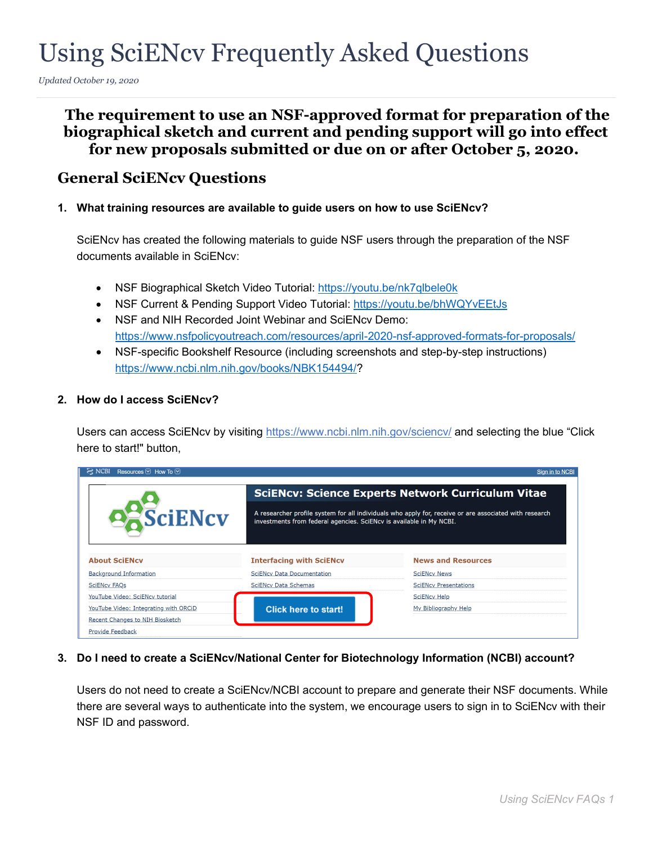# Using SciENcv Frequently Asked Questions

*Updated October 19, 2020*

# **The requirement to use an NSF-approved format for preparation of the biographical sketch and current and pending support will go into effect for new proposals submitted or due on or after October 5, 2020.**

## **General SciENcv Questions**

**1. What training resources are available to guide users on how to use SciENcv?**

SciENcv has created the following materials to guide NSF users through the preparation of the NSF documents available in SciENcv:

- NSF Biographical Sketch Video Tutorial: <https://youtu.be/nk7qlbele0k>
- NSF Current & Pending Support Video Tutorial:<https://youtu.be/bhWQYvEEtJs>
- NSF and NIH Recorded Joint Webinar and SciENcv Demo: <https://www.nsfpolicyoutreach.com/resources/april-2020-nsf-approved-formats-for-proposals/>
- NSF-specific Bookshelf Resource (including screenshots and step-by-step instructions) [https://www.ncbi.nlm.nih.gov/books/NBK154494/?](https://www.ncbi.nlm.nih.gov/books/NBK154494/)

### **2. How do I access SciENcv?**

Users can access SciENcv by visiting<https://www.ncbi.nlm.nih.gov/sciencv/> and selecting the blue "Click here to start!" button,

| Resources $\heartsuit$ How To $\heartsuit$ |                                                                     | Sign in to NCBI                                                                                        |
|--------------------------------------------|---------------------------------------------------------------------|--------------------------------------------------------------------------------------------------------|
|                                            |                                                                     | <b>SciENcv: Science Experts Network Curriculum Vitae</b>                                               |
| <b>PASciENcv</b>                           | investments from federal agencies. SciENcv is available in My NCBI. | A researcher profile system for all individuals who apply for, receive or are associated with research |
| <b>About SciENcv</b>                       | <b>Interfacing with SciENcv</b>                                     | <b>News and Resources</b>                                                                              |
| <b>Background Information</b>              | <b>SciENcv Data Documentation</b>                                   | <b>SciENcy News</b>                                                                                    |
| <b>SciENcv FAQs</b>                        | <b>SciENcv Data Schemas</b>                                         | <b>SciENcv Presentations</b>                                                                           |
| YouTube Video: SciENcv tutorial            |                                                                     | <b>SciENcy Help</b>                                                                                    |
| YouTube Video: Integrating with ORCiD      | Click here to start!                                                | My Bibliography Help                                                                                   |
| Recent Changes to NIH Biosketch            |                                                                     |                                                                                                        |
| <b>Provide Feedback</b>                    |                                                                     |                                                                                                        |

### **3. Do I need to create a SciENcv/National Center for Biotechnology Information (NCBI) account?**

Users do not need to create a SciENcv/NCBI account to prepare and generate their NSF documents. While there are several ways to authenticate into the system, we encourage users to sign in to SciENcv with their NSF ID and password.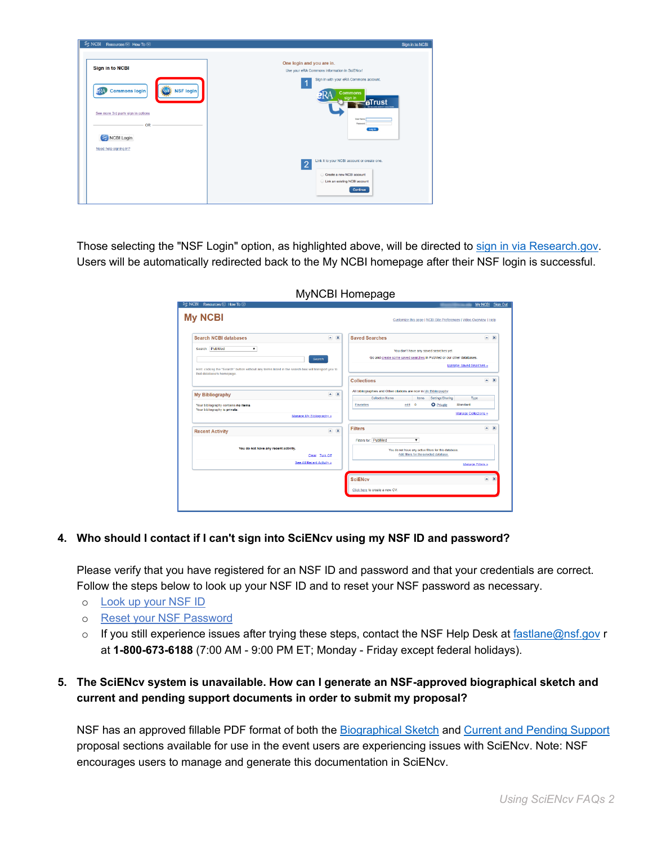| S NCBI Resources ⊙ How To ⊙                            | Sign in to NCBI                                                                                                                  |
|--------------------------------------------------------|----------------------------------------------------------------------------------------------------------------------------------|
| <b>Sign in to NCBI</b>                                 | One login and you are in.<br>Use your eRA Commons information in SciENcv!                                                        |
| <b>Commons login</b><br><b>NSF login</b><br><b>ERA</b> | Sign in with your eRA Commons account.<br>1<br><b>Commons</b><br>sign in<br><b>aTrust</b><br><b>ARE ADDRESSED FOR A CITY AND</b> |
| See more 3rd party sign in options<br>OR<br>NCBI Login | <b>Lisar Name</b><br>Password<br>Login                                                                                           |
| Need help signing in?                                  | Link it to your NCBI account or create one.<br>$\overline{2}$                                                                    |
|                                                        | Create a new NCBI account<br>Link an existing NCBI account<br>Continue                                                           |

Those selecting the "NSF Login" option, as highlighted above, will be directed to [sign in via Research.gov.](https://identity.research.gov/sso/UI/Login?module=nsf&env=prvw&app=portal) Users will be automatically redirected back to the My NCBI homepage after their NSF login is successful.

| <b>Search NCBI databases</b>                                                                                                     |                           | $\blacksquare$ X | <b>Saved Searches</b>                                               | $\sim$ X                  |
|----------------------------------------------------------------------------------------------------------------------------------|---------------------------|------------------|---------------------------------------------------------------------|---------------------------|
| Search: PubMed<br>$\pmb{\mathrm{v}}$                                                                                             |                           |                  | You don't have any saved searches yet.                              |                           |
|                                                                                                                                  | <b>Search</b>             |                  | Go and create some saved searches in PubMed or our other databases. |                           |
| Hint: clicking the "Search" button without any terms listed in the search box will transport you to<br>that database's homepage. |                           |                  | Manage Saved Searches »                                             |                           |
|                                                                                                                                  |                           |                  | <b>Collections</b><br>×                                             | $\overline{\mathbf{x}}$   |
|                                                                                                                                  | ×.                        | $\mathbf{x}$     | All bibliographies and Other citations are now in My Bibliography   |                           |
| <b>My Bibliography</b>                                                                                                           |                           |                  | <b>Collection Name</b><br>Settings/Sharing<br>Type.<br><b>Items</b> |                           |
| Your bibliography contains no items                                                                                              |                           |                  | <b>O</b> Private<br>edit 0<br>Standard<br>Favorites                 |                           |
| Your bibliography is private.                                                                                                    | Manage My Bibliography »  |                  | Manage Collections »                                                |                           |
| <b>Recent Activity</b>                                                                                                           |                           | $\sim$ X         | $\blacksquare$<br><b>Filters</b>                                    | $\boldsymbol{\mathsf{x}}$ |
|                                                                                                                                  |                           |                  | Fitters for: PubMed<br>$\pmb{\mathrm{v}}$                           |                           |
| You do not have any recent activity.                                                                                             |                           |                  | You do not have any active fiters for this database.                |                           |
|                                                                                                                                  | Clear Turn Off            |                  | Add filters for the selected database.                              |                           |
|                                                                                                                                  | See All Recent Activity.» |                  | Manage Filters »                                                    |                           |
|                                                                                                                                  |                           |                  |                                                                     |                           |
|                                                                                                                                  |                           |                  | <b>SciENcv</b>                                                      | $\sim$ X                  |

MyNCBI Homepage

### **4. Who should I contact if I can't sign into SciENcv using my NSF ID and password?**

Please verify that you have registered for an NSF ID and password and that your credentials are correct. Follow the steps below to look up your NSF ID and to reset your NSF password as necessary.

- o [Look up your NSF ID](https://www.fastlane.nsf.gov/researchadmin/nsfIdLookupRead.do)
- o [Reset your NSF Password](https://identity.research.gov/sso/ui/NSFPWResetUserValidation?org=/research)
- $\circ$  If you still experience issues after trying these steps, contact the NSF Help Desk at [fastlane@nsf.gov](mailto:fastlane@nsf.gov) r at **1-800-673-6188** (7:00 AM - 9:00 PM ET; Monday - Friday except federal holidays).

### **5. The SciENcv system is unavailable. How can I generate an NSF-approved biographical sketch and current and pending support documents in order to submit my proposal?**

NSF has an approved fillable PDF format of both the [Biographical Sketch](https://www.nsf.gov/bfa/dias/policy/biosketch.jsp) and [Current and Pending Support](https://www.nsf.gov/bfa/dias/policy/cps.jsp) proposal sections available for use in the event users are experiencing issues with SciENcv. Note: NSF encourages users to manage and generate this documentation in SciENcv.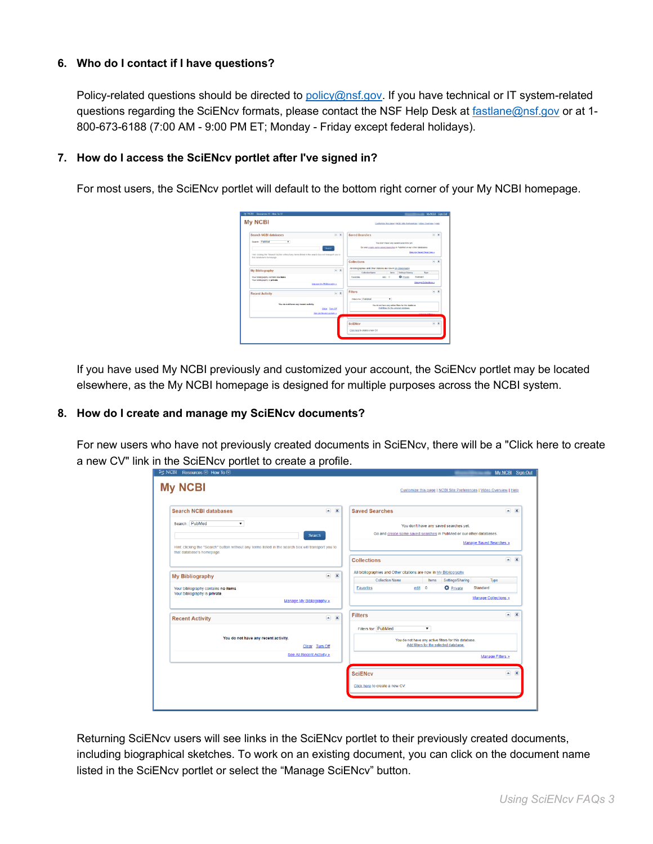### **6. Who do I contact if I have questions?**

Policy-related questions should be directed to [policy@nsf.gov.](mailto:policy@nsf.gov) If you have technical or IT system-related questions regarding the SciENcv formats, please contact the NSF Help Desk at [fastlane@nsf.gov](mailto:fastlane@nsf.gov) or at 1-800-673-6188 (7:00 AM - 9:00 PM ET; Monday - Friday except federal holidays).

### **7. How do I access the SciENcv portlet after I've signed in?**

For most users, the SciENcv portlet will default to the bottom right corner of your My NCBI homepage.

| <b>My NCBI</b>                                                                                                                  |           | Customize this page   NCBI Site Preferences   Video Overview   Help                                             |               |  |
|---------------------------------------------------------------------------------------------------------------------------------|-----------|-----------------------------------------------------------------------------------------------------------------|---------------|--|
| <b>Search NCBI databases</b>                                                                                                    | $-$ X     | <b>Saved Searches</b>                                                                                           | $-1$ $\times$ |  |
| Search: Pablied<br>$\cdot$<br>Boarch                                                                                            |           | You don't have any saved searches yet.<br>Go and create some saved searches in PubMed or our other databases.   |               |  |
| Hint clicking the "Bearch" button without any terms listed in the search box will transport you to<br>that detabase's homepage. |           | Manager Sayed Searches a                                                                                        |               |  |
|                                                                                                                                 |           | <b>Collections</b>                                                                                              | $-$ X         |  |
| My Bibliography                                                                                                                 | $ \times$ | All biolographies and Other oblions are now in Mr. Bibliography                                                 |               |  |
| Your bibliography contains no items.                                                                                            |           | Collection Name<br>Tape <sub>1</sub><br>Settless/Stering<br>kens<br>O Private<br>ext 0<br>Standard<br>Faxorites |               |  |
| Your bibliography is private.                                                                                                   |           |                                                                                                                 |               |  |
| Manage My Bibliography,                                                                                                         |           | <b>Manage Ocliections »</b>                                                                                     |               |  |
| <b>Recent Activity</b>                                                                                                          | $-1$      | Filters                                                                                                         | A             |  |
|                                                                                                                                 |           | Fitters for PubMed<br>٠                                                                                         |               |  |
| You do not have any recent activity.                                                                                            |           | You do not have any action filtow for this detabane.                                                            |               |  |
| Clear Turn Of                                                                                                                   |           | Add River for the polected detabane.                                                                            |               |  |
| See At Recent Actylina                                                                                                          |           |                                                                                                                 |               |  |
|                                                                                                                                 |           |                                                                                                                 |               |  |
|                                                                                                                                 |           | <b>SciENcy</b>                                                                                                  | A             |  |
|                                                                                                                                 |           | City, here to create a new CV.                                                                                  |               |  |

If you have used My NCBI previously and customized your account, the SciENcv portlet may be located elsewhere, as the My NCBI homepage is designed for multiple purposes across the NCBI system.

### **8. How do I create and manage my SciENcv documents?**

For new users who have not previously created documents in SciENcv, there will be a "Click here to create a new CV" link in the SciENcv portlet to create a profile.

| <b>Search NCBI databases</b>                                                                                                     | $\blacksquare$ | $\overline{\mathbf{x}}$ | <b>Saved Searches</b><br>$\sim$ X                                                                                                               |  |
|----------------------------------------------------------------------------------------------------------------------------------|----------------|-------------------------|-------------------------------------------------------------------------------------------------------------------------------------------------|--|
| Search: PubMed<br>$\pmb{\mathrm{v}}$<br><b>Search</b>                                                                            |                |                         | You don't have any saved searches yet.<br>Go and create some saved searches in PubMed or our other databases.<br><b>Manage Saved Searches »</b> |  |
| Hint: clicking the "Search" button without any terms listed in the search box will transport you to<br>that database's homepage. |                |                         | $\sim$ X<br><b>Collections</b>                                                                                                                  |  |
| <b>My Bibliography</b>                                                                                                           |                | $\sim$ X                | All bibliographies and Other citations are now in My Bibliography.<br><b>Collection Name</b><br>Settings/Sharing<br>Items<br>Type               |  |
| Your bibliography contains no items.<br>Your bibliography is private.                                                            |                |                         | <b>D</b> Private<br>edit 0<br>Standard<br><b>Favorites</b>                                                                                      |  |
| Manage My Bibliography »                                                                                                         |                |                         | <b>Manage Collections »</b>                                                                                                                     |  |
| <b>Recent Activity</b>                                                                                                           |                | $\sim$ X                | $\sim$ X<br><b>Filters</b>                                                                                                                      |  |
| You do not have any recent activity.                                                                                             |                |                         | $\blacktriangledown$<br>Filters for: PubMed<br>You do not have any active filters for this database.                                            |  |
| Clear Turn Off                                                                                                                   |                |                         | Add filters for the selected database.                                                                                                          |  |
| See All Recent Activity »                                                                                                        |                |                         | <b>Manage Filters »</b>                                                                                                                         |  |
|                                                                                                                                  |                |                         | $\sim$ X<br><b>SciENcv</b>                                                                                                                      |  |
|                                                                                                                                  |                |                         | Click here to create a new CV.                                                                                                                  |  |

Returning SciENcv users will see links in the SciENcv portlet to their previously created documents, including biographical sketches. To work on an existing document, you can click on the document name listed in the SciENcv portlet or select the "Manage SciENcv" button.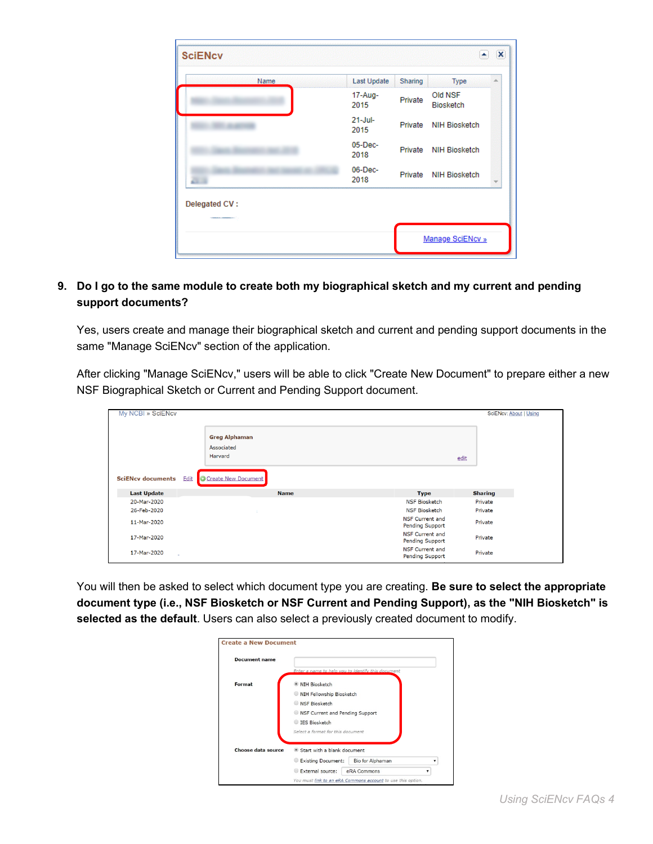| <b>SciENcv</b>          | an an amachan an a  |         | ۰                           | $\boldsymbol{\mathsf{x}}$ |
|-------------------------|---------------------|---------|-----------------------------|---------------------------|
| Name                    | Last Update         | Sharing | Type                        | 业                         |
|                         | 17-Aug-<br>2015     | Private | Old NSF<br><b>Biosketch</b> |                           |
|                         | $21 -$ Jul-<br>2015 | Private | <b>NIH Biosketch</b>        |                           |
|                         | 05-Dec-<br>2018     | Private | <b>NIH Biosketch</b>        |                           |
|                         | $06$ -Dec-<br>2018  | Private | <b>NIH Biosketch</b>        |                           |
| Delegated CV:           |                     |         |                             |                           |
| <b>START CONTROLLER</b> |                     |         |                             |                           |
|                         |                     |         | Manage SciENcv »            |                           |

### **9. Do I go to the same module to create both my biographical sketch and my current and pending support documents?**

Yes, users create and manage their biographical sketch and current and pending support documents in the same "Manage SciENcv" section of the application.

After clicking "Manage SciENcv," users will be able to click "Create New Document" to prepare either a new NSF Biographical Sketch or Current and Pending Support document.

| My NCBI » SciENcv        |                                               |                                                  | SciENcv: About   Using |
|--------------------------|-----------------------------------------------|--------------------------------------------------|------------------------|
|                          | <b>Greg Alphaman</b><br>Associated<br>Harvard |                                                  | edit                   |
| <b>SciENcv documents</b> | <b>O</b> Create New Document<br>Edit          |                                                  |                        |
| <b>Last Update</b>       | <b>Name</b>                                   | <b>Type</b>                                      | <b>Sharing</b>         |
| 20-Mar-2020              |                                               | <b>NSF Biosketch</b>                             | Private                |
| 26-Feb-2020              |                                               | <b>NSF Biosketch</b>                             | Private                |
| 11-Mar-2020              |                                               | <b>NSF Current and</b><br><b>Pending Support</b> | Private                |
| 17-Mar-2020              |                                               | <b>NSF Current and</b><br><b>Pending Support</b> | Private                |
| 17-Mar-2020              |                                               | <b>NSF Current and</b><br><b>Pending Support</b> | Private                |

You will then be asked to select which document type you are creating. **Be sure to select the appropriate document type (i.e., NSF Biosketch or NSF Current and Pending Support), as the "NIH Biosketch" is selected as the default**. Users can also select a previously created document to modify.

| <b>Document name</b> |                                                    |
|----------------------|----------------------------------------------------|
|                      | Enter a name to help you to identify this document |
| Format               | <b>NIH Biosketch</b>                               |
|                      | NIH Fellowship Biosketch                           |
|                      | NSF Biosketch<br>◎                                 |
|                      | Ref Current and Pending Support                    |
|                      | IES Biosketch                                      |
|                      | Select a format for this document                  |
| Choose data source   | Start with a blank document                        |
|                      | <b>Existing Document:</b><br>Bio for Alphaman<br>⊚ |
|                      | External source:<br>eRA Commons<br>⊚               |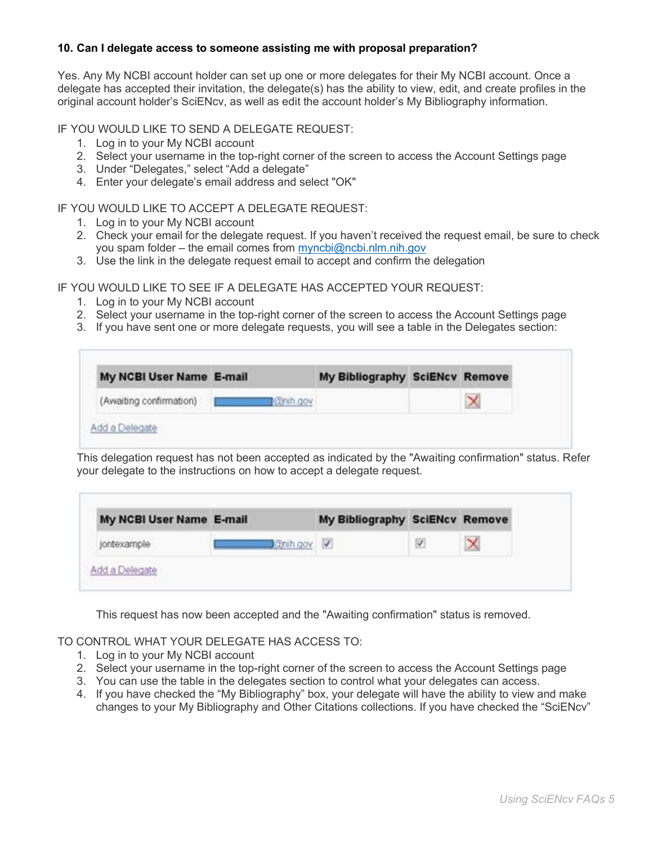### **10. Can I delegate access to someone assisting me with proposal preparation?**

Yes. Any My NCBI account holder can set up one or more delegates for their My NCBI account. Once a delegate has accepted their invitation, the delegate(s) has the ability to view, edit, and create profiles in the original account holder's SciENcv, as well as edit the account holder's My Bibliography information.

IF YOU WOULD LIKE TO SEND A DELEGATE REQUEST:

- 1. Log in to your My NCBI account
- 2. Select your username in the top-right corner of the screen to access the Account Settings page
- 3. Under "Delegates," select "Add a delegate"
- 4. Enter your delegate's email address and select "OK"

#### IF YOU WOULD LIKE TO ACCEPT A DELEGATE REQUEST:

- 1. Log in to your My NCBI account
- 2. Check your email for the delegate request. If you haven't received the request email, be sure to check you spam folder – the email comes from [myncbi@ncbi.nlm.nih.gov](file:///C:/Users/jvesuna/AppData/Local/Microsoft/Windows/INetCache/Content.Outlook/3HZV5VHX/myncbi@ncbi.nlm.nih.gov)
- 3. Use the link in the delegate request email to accept and confirm the delegation

IF YOU WOULD LIKE TO SEE IF A DELEGATE HAS ACCEPTED YOUR REQUEST:

- 1. Log in to your My NCBI account
- 2. Select your username in the top-right corner of the screen to access the Account Settings page
- 3. If you have sent one or more delegate requests, you will see a table in the Delegates section:

| My NCBI User Name E-mail |          | My Bibliography SciENcv Remove |  |
|--------------------------|----------|--------------------------------|--|
| (Awaiting confirmation)  | comh.gov |                                |  |

This delegation request has not been accepted as indicated by the "Awaiting confirmation" status. Refer your delegate to the instructions on how to accept a delegate request.

| My NCBI User Name E-mail |          | My Bibliography SciENcv Remove |  |
|--------------------------|----------|--------------------------------|--|
| jontexample              | anth gov |                                |  |

This request has now been accepted and the "Awaiting confirmation" status is removed.

TO CONTROL WHAT YOUR DELEGATE HAS ACCESS TO:

- 1. Log in to your My NCBI account
- 2. Select your username in the top-right corner of the screen to access the Account Settings page
- 3. You can use the table in the delegates section to control what your delegates can access.
- 4. If you have checked the "My Bibliography" box, your delegate will have the ability to view and make changes to your My Bibliography and Other Citations collections. If you have checked the "SciENcv"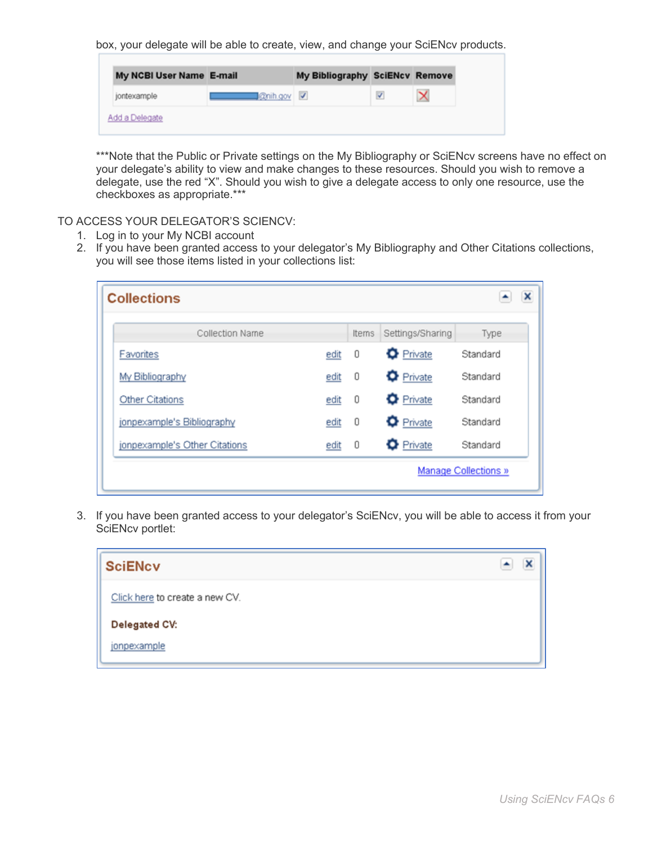box, your delegate will be able to create, view, and change your SciENcv products.

| <b>Coningov</b><br>jontexample |
|--------------------------------|
|                                |

\*\*\*Note that the Public or Private settings on the My Bibliography or SciENcv screens have no effect on your delegate's ability to view and make changes to these resources. Should you wish to remove a delegate, use the red "X". Should you wish to give a delegate access to only one resource, use the checkboxes as appropriate.\*\*\*

TO ACCESS YOUR DELEGATOR'S SCIENCV:

- 1. Log in to your My NCBI account
- 2. If you have been granted access to your delegator's My Bibliography and Other Citations collections, you will see those items listed in your collections list:

| <b>Collections</b>            |      |       |                  | ×                           |
|-------------------------------|------|-------|------------------|-----------------------------|
| Collection Name               |      | Items | Settings/Sharing | Type                        |
| Favorites                     | edit | 0     | <b>O</b> Private | Standard                    |
| My Bibliography               | edit | 0     | <b>O</b> Private | Standard                    |
| Other Citations               | edit | 0     | <b>O</b> Private | Standard                    |
| jonpexample's Bibliography    | edit | 0     | <b>O</b> Private | Standard                    |
| jonpexample's Other Citations | edit | 0     | <b>O</b> Private | Standard                    |
|                               |      |       |                  | <b>Manage Collections »</b> |

3. If you have been granted access to your delegator's SciENcv, you will be able to access it from your SciENcv portlet:

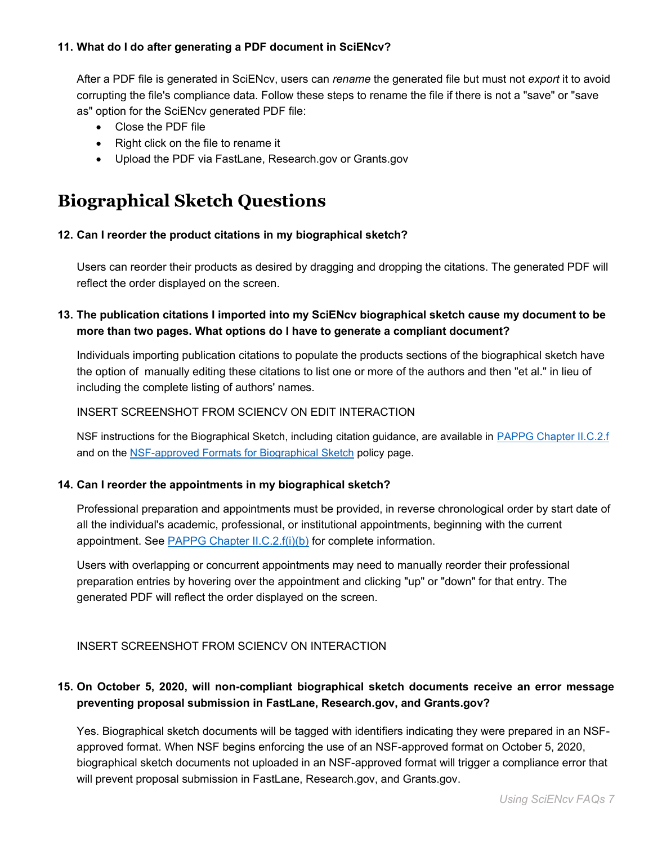### **11. What do I do after generating a PDF document in SciENcv?**

After a PDF file is generated in SciENcv, users can *rename* the generated file but must not *export* it to avoid corrupting the file's compliance data. Follow these steps to rename the file if there is not a "save" or "save as" option for the SciENcv generated PDF file:

- Close the PDF file
- Right click on the file to rename it
- Upload the PDF via FastLane, Research.gov or Grants.gov

# **Biographical Sketch Questions**

### **12. Can I reorder the product citations in my biographical sketch?**

Users can reorder their products as desired by dragging and dropping the citations. The generated PDF will reflect the order displayed on the screen.

### **13. The publication citations I imported into my SciENcv biographical sketch cause my document to be more than two pages. What options do I have to generate a compliant document?**

Individuals importing publication citations to populate the products sections of the biographical sketch have the option of manually editing these citations to list one or more of the authors and then "et al." in lieu of including the complete listing of authors' names.

### INSERT SCREENSHOT FROM SCIENCV ON EDIT INTERACTION

NSF instructions for the Biographical Sketch, including citation guidance, are available in [PAPPG Chapter II.C.2.f](https://www.nsf.gov/pubs/policydocs/pappg20_1/pappg_2.jsp#IIC2f) and on the [NSF-approved Formats for Biographical Sketch](https://www.nsf.gov/bfa/dias/policy/biosketch.jsp) policy page.

### **14. Can I reorder the appointments in my biographical sketch?**

Professional preparation and appointments must be provided, in reverse chronological order by start date of all the individual's academic, professional, or institutional appointments, beginning with the current appointment. See **PAPPG Chapter II.C.2.f(i)(b)** for complete information.

Users with overlapping or concurrent appointments may need to manually reorder their professional preparation entries by hovering over the appointment and clicking "up" or "down" for that entry. The generated PDF will reflect the order displayed on the screen.

### INSERT SCREENSHOT FROM SCIENCV ON INTERACTION

### **15. On October 5, 2020, will non-compliant biographical sketch documents receive an error message preventing proposal submission in FastLane, Research.gov, and Grants.gov?**

Yes. Biographical sketch documents will be tagged with identifiers indicating they were prepared in an NSFapproved format. When NSF begins enforcing the use of an NSF-approved format on October 5, 2020, biographical sketch documents not uploaded in an NSF-approved format will trigger a compliance error that will prevent proposal submission in FastLane, Research.gov, and Grants.gov.